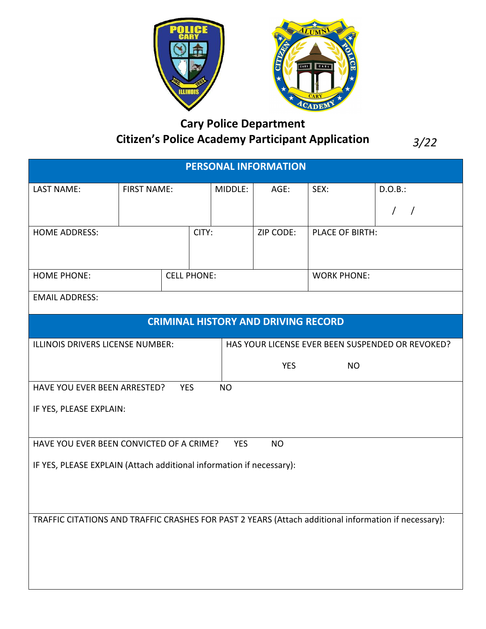

## **Cary Police Department Citizen's Police Academy Participant Application**

*3/22*

| <b>PERSONAL INFORMATION</b>                                                                          |                    |  |         |      |                    |                 |            |
|------------------------------------------------------------------------------------------------------|--------------------|--|---------|------|--------------------|-----------------|------------|
| <b>LAST NAME:</b>                                                                                    | <b>FIRST NAME:</b> |  | MIDDLE: | AGE: | SEX:               | D.O.B.:         |            |
|                                                                                                      |                    |  |         |      |                    |                 | $\sqrt{ }$ |
| <b>HOME ADDRESS:</b>                                                                                 |                    |  | CITY:   |      | ZIP CODE:          | PLACE OF BIRTH: |            |
|                                                                                                      |                    |  |         |      |                    |                 |            |
| <b>HOME PHONE:</b>                                                                                   | <b>CELL PHONE:</b> |  |         |      | <b>WORK PHONE:</b> |                 |            |
| <b>EMAIL ADDRESS:</b>                                                                                |                    |  |         |      |                    |                 |            |
| <b>CRIMINAL HISTORY AND DRIVING RECORD</b>                                                           |                    |  |         |      |                    |                 |            |
| ILLINOIS DRIVERS LICENSE NUMBER:<br>HAS YOUR LICENSE EVER BEEN SUSPENDED OR REVOKED?                 |                    |  |         |      |                    |                 |            |
|                                                                                                      |                    |  |         |      | <b>YES</b>         | <b>NO</b>       |            |
| HAVE YOU EVER BEEN ARRESTED?<br><b>YES</b><br><b>NO</b>                                              |                    |  |         |      |                    |                 |            |
| IF YES, PLEASE EXPLAIN:                                                                              |                    |  |         |      |                    |                 |            |
| HAVE YOU EVER BEEN CONVICTED OF A CRIME?<br><b>YES</b><br><b>NO</b>                                  |                    |  |         |      |                    |                 |            |
| IF YES, PLEASE EXPLAIN (Attach additional information if necessary):                                 |                    |  |         |      |                    |                 |            |
|                                                                                                      |                    |  |         |      |                    |                 |            |
|                                                                                                      |                    |  |         |      |                    |                 |            |
| TRAFFIC CITATIONS AND TRAFFIC CRASHES FOR PAST 2 YEARS (Attach additional information if necessary): |                    |  |         |      |                    |                 |            |
|                                                                                                      |                    |  |         |      |                    |                 |            |
|                                                                                                      |                    |  |         |      |                    |                 |            |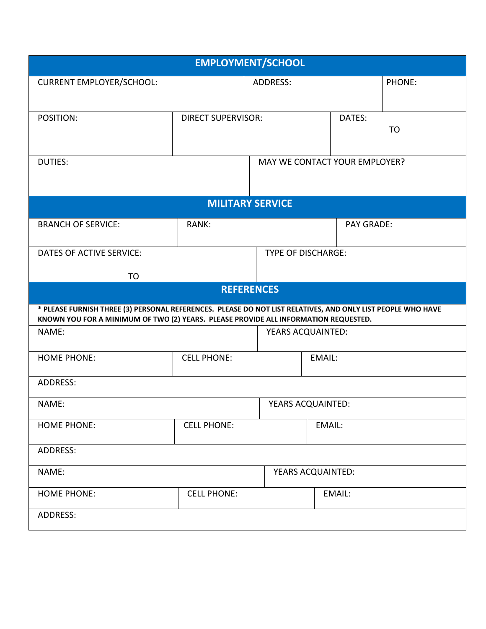| <b>EMPLOYMENT/SCHOOL</b>                                                                                                                                                                           |                           |                               |                   |                   |  |  |  |
|----------------------------------------------------------------------------------------------------------------------------------------------------------------------------------------------------|---------------------------|-------------------------------|-------------------|-------------------|--|--|--|
| <b>CURRENT EMPLOYER/SCHOOL:</b>                                                                                                                                                                    |                           | ADDRESS:                      |                   | PHONE:            |  |  |  |
| POSITION:                                                                                                                                                                                          | <b>DIRECT SUPERVISOR:</b> | DATES:                        |                   | <b>TO</b>         |  |  |  |
| <b>DUTIES:</b>                                                                                                                                                                                     |                           | MAY WE CONTACT YOUR EMPLOYER? |                   |                   |  |  |  |
|                                                                                                                                                                                                    |                           | <b>MILITARY SERVICE</b>       |                   |                   |  |  |  |
| <b>BRANCH OF SERVICE:</b>                                                                                                                                                                          | RANK:                     |                               | <b>PAY GRADE:</b> |                   |  |  |  |
| DATES OF ACTIVE SERVICE:<br><b>TO</b>                                                                                                                                                              |                           | <b>TYPE OF DISCHARGE:</b>     |                   |                   |  |  |  |
|                                                                                                                                                                                                    |                           | <b>REFERENCES</b>             |                   |                   |  |  |  |
| * PLEASE FURNISH THREE (3) PERSONAL REFERENCES. PLEASE DO NOT LIST RELATIVES, AND ONLY LIST PEOPLE WHO HAVE<br>KNOWN YOU FOR A MINIMUM OF TWO (2) YEARS. PLEASE PROVIDE ALL INFORMATION REQUESTED. |                           |                               |                   |                   |  |  |  |
| NAME:                                                                                                                                                                                              |                           |                               |                   | YEARS ACQUAINTED: |  |  |  |
| <b>HOME PHONE:</b>                                                                                                                                                                                 | <b>CELL PHONE:</b>        |                               | EMAIL:            |                   |  |  |  |
| <b>ADDRESS:</b>                                                                                                                                                                                    |                           |                               |                   |                   |  |  |  |
| NAME:                                                                                                                                                                                              | YEARS ACQUAINTED:         |                               |                   |                   |  |  |  |
| <b>HOME PHONE:</b>                                                                                                                                                                                 | <b>CELL PHONE:</b>        |                               | EMAIL:            |                   |  |  |  |
| ADDRESS:                                                                                                                                                                                           |                           |                               |                   |                   |  |  |  |
| NAME:                                                                                                                                                                                              |                           | YEARS ACQUAINTED:             |                   |                   |  |  |  |
| <b>HOME PHONE:</b>                                                                                                                                                                                 | <b>CELL PHONE:</b>        |                               | EMAIL:            |                   |  |  |  |
| ADDRESS:                                                                                                                                                                                           |                           |                               |                   |                   |  |  |  |